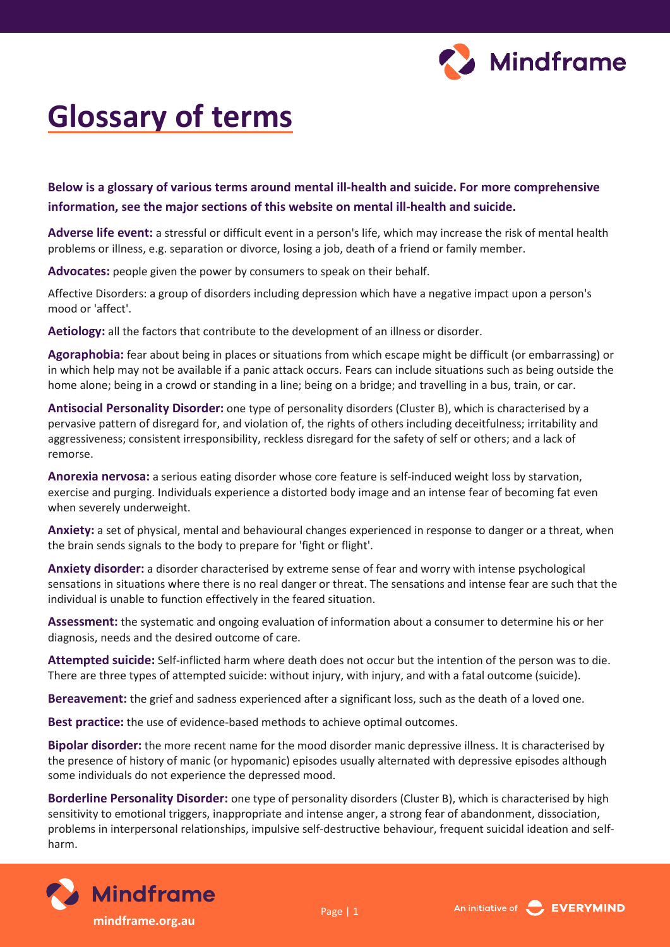

## **Glossary of terms**

**Below is a glossary of various terms around mental ill-health and suicide. For more comprehensive information, see the major sections of this website on mental ill-health and suicide.**

**Adverse life event:** a stressful or difficult event in a person's life, which may increase the risk of mental health problems or illness, e.g. separation or divorce, losing a job, death of a friend or family member.

**Advocates:** people given the power by consumers to speak on their behalf.

Affective Disorders: a group of disorders including depression which have a negative impact upon a person's mood or 'affect'.

**Aetiology:** all the factors that contribute to the development of an illness or disorder.

**Agoraphobia:** fear about being in places or situations from which escape might be difficult (or embarrassing) or in which help may not be available if a panic attack occurs. Fears can include situations such as being outside the home alone; being in a crowd or standing in a line; being on a bridge; and travelling in a bus, train, or car.

**Antisocial Personality Disorder:** one type of personality disorders (Cluster B), which is characterised by a pervasive pattern of disregard for, and violation of, the rights of others including deceitfulness; irritability and aggressiveness; consistent irresponsibility, reckless disregard for the safety of self or others; and a lack of remorse.

**Anorexia nervosa:** a serious eating disorder whose core feature is self-induced weight loss by starvation, exercise and purging. Individuals experience a distorted body image and an intense fear of becoming fat even when severely underweight.

**Anxiety:** a set of physical, mental and behavioural changes experienced in response to danger or a threat, when the brain sends signals to the body to prepare for 'fight or flight'.

**Anxiety disorder:** a disorder characterised by extreme sense of fear and worry with intense psychological sensations in situations where there is no real danger or threat. The sensations and intense fear are such that the individual is unable to function effectively in the feared situation.

**Assessment:** the systematic and ongoing evaluation of information about a consumer to determine his or her diagnosis, needs and the desired outcome of care.

**Attempted suicide:** Self-inflicted harm where death does not occur but the intention of the person was to die. There are three types of attempted suicide: without injury, with injury, and with a fatal outcome (suicide).

**Bereavement:** the grief and sadness experienced after a significant loss, such as the death of a loved one.

**Best practice:** the use of evidence-based methods to achieve optimal outcomes.

**Bipolar disorder:** the more recent name for the mood disorder manic depressive illness. It is characterised by the presence of history of manic (or hypomanic) episodes usually alternated with depressive episodes although some individuals do not experience the depressed mood.

**Borderline Personality Disorder:** one type of personality disorders (Cluster B), which is characterised by high sensitivity to emotional triggers, inappropriate and intense anger, a strong fear of abandonment, dissociation, problems in interpersonal relationships, impulsive self-destructive behaviour, frequent suicidal ideation and selfharm.



**mindframe.org.au** Page | 1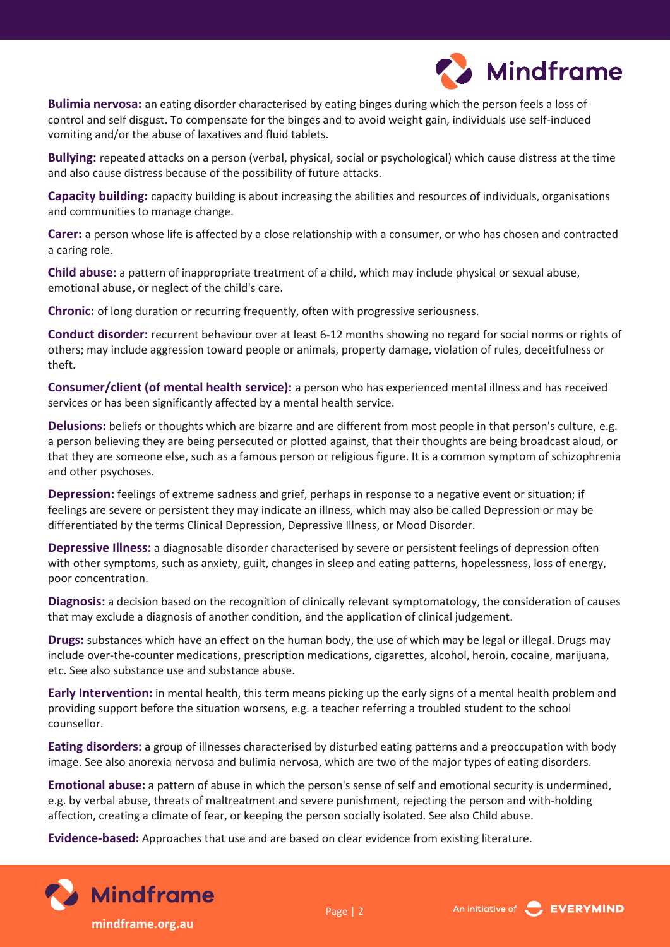

**Bulimia nervosa:** an eating disorder characterised by eating binges during which the person feels a loss of control and self disgust. To compensate for the binges and to avoid weight gain, individuals use self-induced vomiting and/or the abuse of laxatives and fluid tablets.

**Bullying:** repeated attacks on a person (verbal, physical, social or psychological) which cause distress at the time and also cause distress because of the possibility of future attacks.

**Capacity building:** capacity building is about increasing the abilities and resources of individuals, organisations and communities to manage change.

**Carer:** a person whose life is affected by a close relationship with a consumer, or who has chosen and contracted a caring role.

**Child abuse:** a pattern of inappropriate treatment of a child, which may include physical or sexual abuse, emotional abuse, or neglect of the child's care.

**Chronic:** of long duration or recurring frequently, often with progressive seriousness.

**Conduct disorder:** recurrent behaviour over at least 6-12 months showing no regard for social norms or rights of others; may include aggression toward people or animals, property damage, violation of rules, deceitfulness or theft.

**Consumer/client (of mental health service):** a person who has experienced mental illness and has received services or has been significantly affected by a mental health service.

**Delusions:** beliefs or thoughts which are bizarre and are different from most people in that person's culture, e.g. a person believing they are being persecuted or plotted against, that their thoughts are being broadcast aloud, or that they are someone else, such as a famous person or religious figure. It is a common symptom of schizophrenia and other psychoses.

**Depression:** feelings of extreme sadness and grief, perhaps in response to a negative event or situation; if feelings are severe or persistent they may indicate an illness, which may also be called Depression or may be differentiated by the terms Clinical Depression, Depressive Illness, or Mood Disorder.

**Depressive Illness:** a diagnosable disorder characterised by severe or persistent feelings of depression often with other symptoms, such as anxiety, guilt, changes in sleep and eating patterns, hopelessness, loss of energy, poor concentration.

**Diagnosis:** a decision based on the recognition of clinically relevant symptomatology, the consideration of causes that may exclude a diagnosis of another condition, and the application of clinical judgement.

**Drugs:** substances which have an effect on the human body, the use of which may be legal or illegal. Drugs may include over-the-counter medications, prescription medications, cigarettes, alcohol, heroin, cocaine, marijuana, etc. See also substance use and substance abuse.

**Early Intervention:** in mental health, this term means picking up the early signs of a mental health problem and providing support before the situation worsens, e.g. a teacher referring a troubled student to the school counsellor.

**Eating disorders:** a group of illnesses characterised by disturbed eating patterns and a preoccupation with body image. See also anorexia nervosa and bulimia nervosa, which are two of the major types of eating disorders.

**Emotional abuse:** a pattern of abuse in which the person's sense of self and emotional security is undermined, e.g. by verbal abuse, threats of maltreatment and severe punishment, rejecting the person and with-holding affection, creating a climate of fear, or keeping the person socially isolated. See also Child abuse.

**Evidence-based:** Approaches that use and are based on clear evidence from existing literature.



**mindframe.org.au**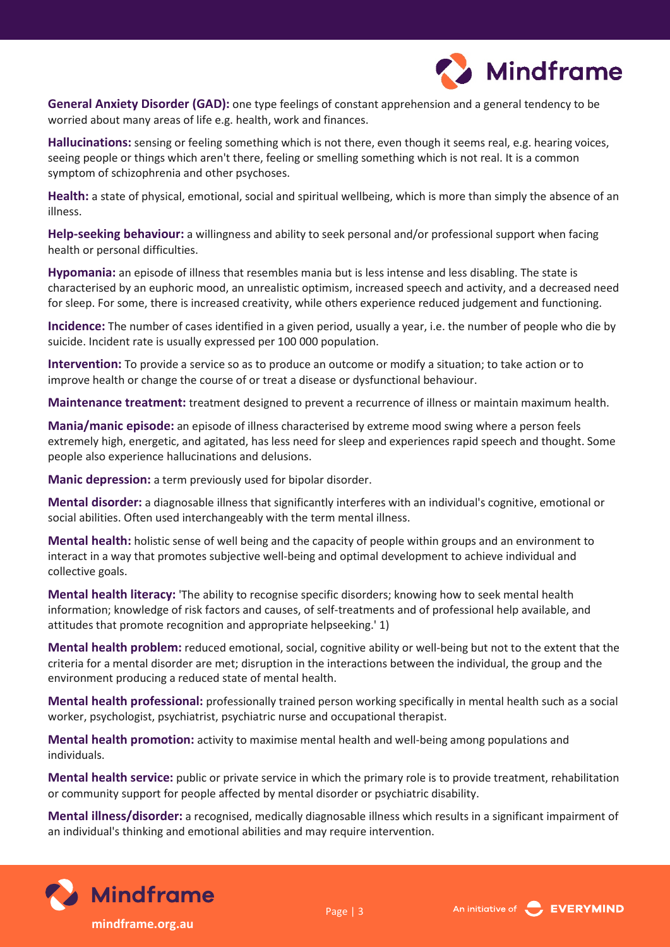

**General Anxiety Disorder (GAD):** one type feelings of constant apprehension and a general tendency to be worried about many areas of life e.g. health, work and finances.

**Hallucinations:** sensing or feeling something which is not there, even though it seems real, e.g. hearing voices, seeing people or things which aren't there, feeling or smelling something which is not real. It is a common symptom of schizophrenia and other psychoses.

**Health:** a state of physical, emotional, social and spiritual wellbeing, which is more than simply the absence of an illness.

**Help-seeking behaviour:** a willingness and ability to seek personal and/or professional support when facing health or personal difficulties.

**Hypomania:** an episode of illness that resembles mania but is less intense and less disabling. The state is characterised by an euphoric mood, an unrealistic optimism, increased speech and activity, and a decreased need for sleep. For some, there is increased creativity, while others experience reduced judgement and functioning.

**Incidence:** The number of cases identified in a given period, usually a year, i.e. the number of people who die by suicide. Incident rate is usually expressed per 100 000 population.

**Intervention:** To provide a service so as to produce an outcome or modify a situation; to take action or to improve health or change the course of or treat a disease or dysfunctional behaviour.

**Maintenance treatment:** treatment designed to prevent a recurrence of illness or maintain maximum health.

**Mania/manic episode:** an episode of illness characterised by extreme mood swing where a person feels extremely high, energetic, and agitated, has less need for sleep and experiences rapid speech and thought. Some people also experience hallucinations and delusions.

**Manic depression:** a term previously used for bipolar disorder.

**Mental disorder:** a diagnosable illness that significantly interferes with an individual's cognitive, emotional or social abilities. Often used interchangeably with the term mental illness.

**Mental health:** holistic sense of well being and the capacity of people within groups and an environment to interact in a way that promotes subjective well-being and optimal development to achieve individual and collective goals.

**Mental health literacy:** 'The ability to recognise specific disorders; knowing how to seek mental health information; knowledge of risk factors and causes, of self-treatments and of professional help available, and attitudes that promote recognition and appropriate helpseeking.' 1)

**Mental health problem:** reduced emotional, social, cognitive ability or well-being but not to the extent that the criteria for a mental disorder are met; disruption in the interactions between the individual, the group and the environment producing a reduced state of mental health.

**Mental health professional:** professionally trained person working specifically in mental health such as a social worker, psychologist, psychiatrist, psychiatric nurse and occupational therapist.

**Mental health promotion:** activity to maximise mental health and well-being among populations and individuals.

**Mental health service:** public or private service in which the primary role is to provide treatment, rehabilitation or community support for people affected by mental disorder or psychiatric disability.

**Mental illness/disorder:** a recognised, medically diagnosable illness which results in a significant impairment of an individual's thinking and emotional abilities and may require intervention.





**mindframe.org.au**

Page | 3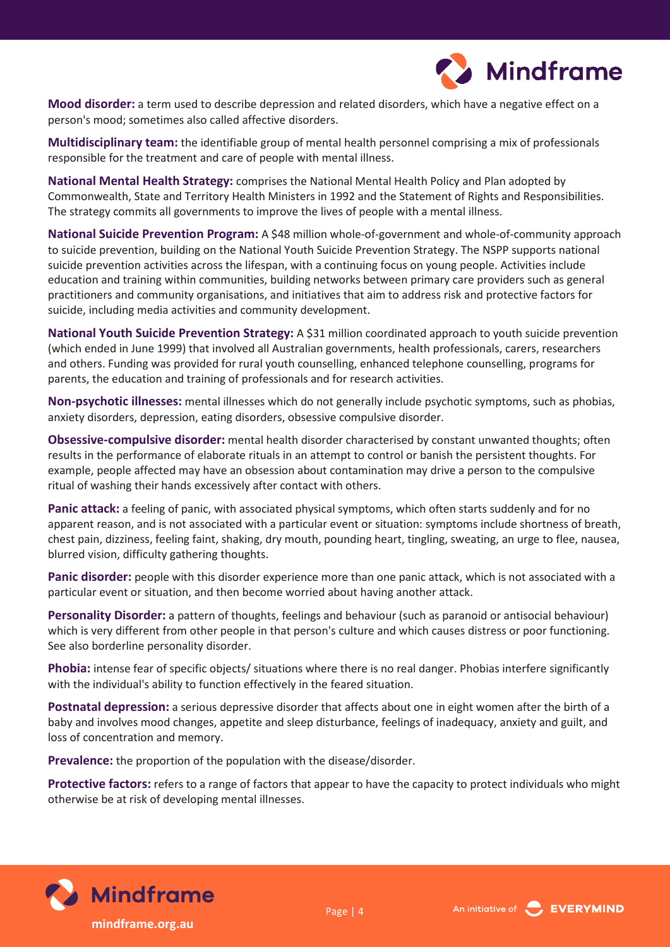

**Mood disorder:** a term used to describe depression and related disorders, which have a negative effect on a person's mood; sometimes also called affective disorders.

**Multidisciplinary team:** the identifiable group of mental health personnel comprising a mix of professionals responsible for the treatment and care of people with mental illness.

**National Mental Health Strategy:** comprises the National Mental Health Policy and Plan adopted by Commonwealth, State and Territory Health Ministers in 1992 and the Statement of Rights and Responsibilities. The strategy commits all governments to improve the lives of people with a mental illness.

**National Suicide Prevention Program:** A \$48 million whole-of-government and whole-of-community approach to suicide prevention, building on the National Youth Suicide Prevention Strategy. The NSPP supports national suicide prevention activities across the lifespan, with a continuing focus on young people. Activities include education and training within communities, building networks between primary care providers such as general practitioners and community organisations, and initiatives that aim to address risk and protective factors for suicide, including media activities and community development.

**National Youth Suicide Prevention Strategy:** A \$31 million coordinated approach to youth suicide prevention (which ended in June 1999) that involved all Australian governments, health professionals, carers, researchers and others. Funding was provided for rural youth counselling, enhanced telephone counselling, programs for parents, the education and training of professionals and for research activities.

**Non-psychotic illnesses:** mental illnesses which do not generally include psychotic symptoms, such as phobias, anxiety disorders, depression, eating disorders, obsessive compulsive disorder.

**Obsessive-compulsive disorder:** mental health disorder characterised by constant unwanted thoughts; often results in the performance of elaborate rituals in an attempt to control or banish the persistent thoughts. For example, people affected may have an obsession about contamination may drive a person to the compulsive ritual of washing their hands excessively after contact with others.

**Panic attack:** a feeling of panic, with associated physical symptoms, which often starts suddenly and for no apparent reason, and is not associated with a particular event or situation: symptoms include shortness of breath, chest pain, dizziness, feeling faint, shaking, dry mouth, pounding heart, tingling, sweating, an urge to flee, nausea, blurred vision, difficulty gathering thoughts.

**Panic disorder:** people with this disorder experience more than one panic attack, which is not associated with a particular event or situation, and then become worried about having another attack.

**Personality Disorder:** a pattern of thoughts, feelings and behaviour (such as paranoid or antisocial behaviour) which is very different from other people in that person's culture and which causes distress or poor functioning. See also borderline personality disorder.

**Phobia:** intense fear of specific objects/ situations where there is no real danger. Phobias interfere significantly with the individual's ability to function effectively in the feared situation.

**Postnatal depression:** a serious depressive disorder that affects about one in eight women after the birth of a baby and involves mood changes, appetite and sleep disturbance, feelings of inadequacy, anxiety and guilt, and loss of concentration and memory.

**Prevalence:** the proportion of the population with the disease/disorder.

**Protective factors:** refers to a range of factors that appear to have the capacity to protect individuals who might otherwise be at risk of developing mental illnesses.



**mindframe.org.au**

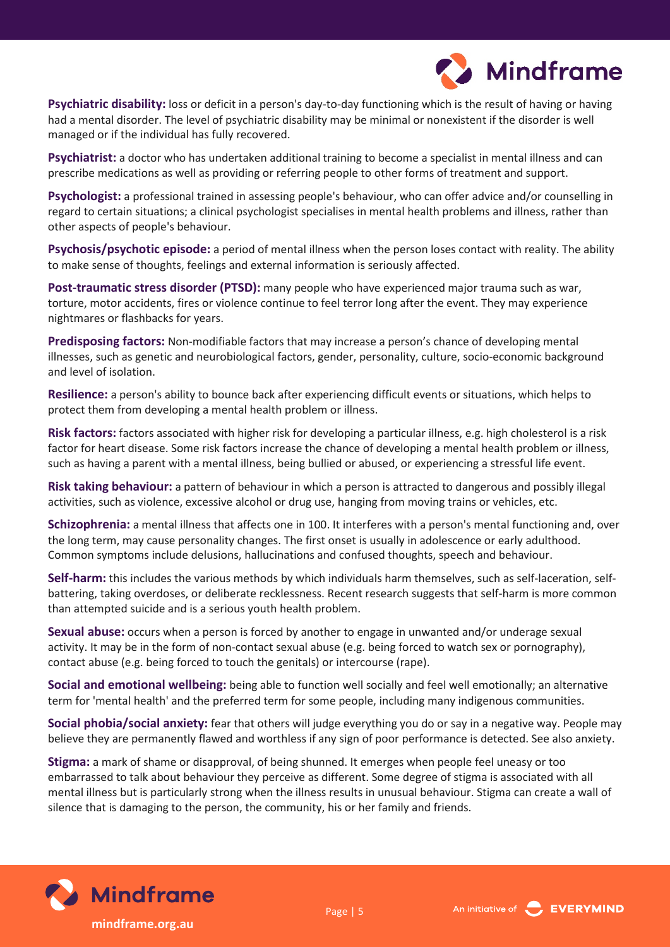

**Psychiatric disability:** loss or deficit in a person's day-to-day functioning which is the result of having or having had a mental disorder. The level of psychiatric disability may be minimal or nonexistent if the disorder is well managed or if the individual has fully recovered.

**Psychiatrist:** a doctor who has undertaken additional training to become a specialist in mental illness and can prescribe medications as well as providing or referring people to other forms of treatment and support.

**Psychologist:** a professional trained in assessing people's behaviour, who can offer advice and/or counselling in regard to certain situations; a clinical psychologist specialises in mental health problems and illness, rather than other aspects of people's behaviour.

**Psychosis/psychotic episode:** a period of mental illness when the person loses contact with reality. The ability to make sense of thoughts, feelings and external information is seriously affected.

**Post-traumatic stress disorder (PTSD):** many people who have experienced major trauma such as war, torture, motor accidents, fires or violence continue to feel terror long after the event. They may experience nightmares or flashbacks for years.

**Predisposing factors:** Non-modifiable factors that may increase a person's chance of developing mental illnesses, such as genetic and neurobiological factors, gender, personality, culture, socio-economic background and level of isolation.

**Resilience:** a person's ability to bounce back after experiencing difficult events or situations, which helps to protect them from developing a mental health problem or illness.

**Risk factors:** factors associated with higher risk for developing a particular illness, e.g. high cholesterol is a risk factor for heart disease. Some risk factors increase the chance of developing a mental health problem or illness, such as having a parent with a mental illness, being bullied or abused, or experiencing a stressful life event.

**Risk taking behaviour:** a pattern of behaviour in which a person is attracted to dangerous and possibly illegal activities, such as violence, excessive alcohol or drug use, hanging from moving trains or vehicles, etc.

**Schizophrenia:** a mental illness that affects one in 100. It interferes with a person's mental functioning and, over the long term, may cause personality changes. The first onset is usually in adolescence or early adulthood. Common symptoms include delusions, hallucinations and confused thoughts, speech and behaviour.

**Self-harm:** this includes the various methods by which individuals harm themselves, such as self-laceration, selfbattering, taking overdoses, or deliberate recklessness. Recent research suggests that self-harm is more common than attempted suicide and is a serious youth health problem.

**Sexual abuse:** occurs when a person is forced by another to engage in unwanted and/or underage sexual activity. It may be in the form of non-contact sexual abuse (e.g. being forced to watch sex or pornography), contact abuse (e.g. being forced to touch the genitals) or intercourse (rape).

**Social and emotional wellbeing:** being able to function well socially and feel well emotionally; an alternative term for 'mental health' and the preferred term for some people, including many indigenous communities.

**Social phobia/social anxiety:** fear that others will judge everything you do or say in a negative way. People may believe they are permanently flawed and worthless if any sign of poor performance is detected. See also anxiety.

**Stigma:** a mark of shame or disapproval, of being shunned. It emerges when people feel uneasy or too embarrassed to talk about behaviour they perceive as different. Some degree of stigma is associated with all mental illness but is particularly strong when the illness results in unusual behaviour. Stigma can create a wall of silence that is damaging to the person, the community, his or her family and friends.



**mindframe.org.au**